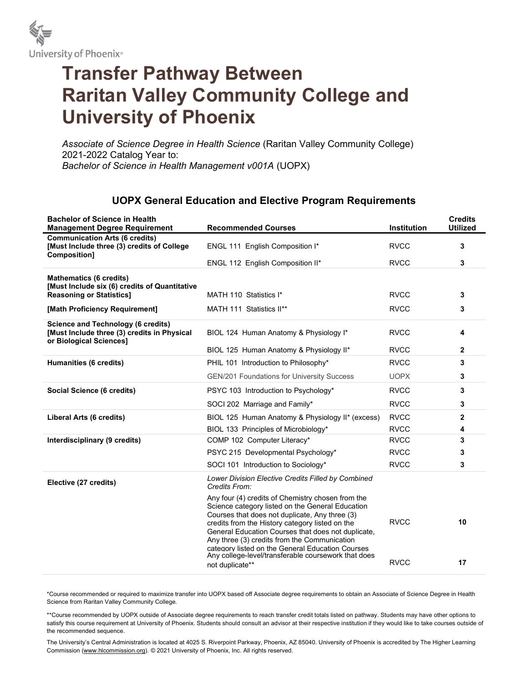

## Transfer Pathway Between Raritan Valley Community College and University of Phoenix

Associate of Science Degree in Health Science (Raritan Valley Community College) 2021-2022 Catalog Year to: Bachelor of Science in Health Management v001A (UOPX)

## UOPX General Education and Elective Program Requirements

| <b>Bachelor of Science in Health</b><br><b>Management Degree Requirement</b>                                        | <b>Recommended Courses</b>                                                                                                                                                                                                                                                                                                                                                                                                                     | Institution                | <b>Credits</b><br><b>Utilized</b> |
|---------------------------------------------------------------------------------------------------------------------|------------------------------------------------------------------------------------------------------------------------------------------------------------------------------------------------------------------------------------------------------------------------------------------------------------------------------------------------------------------------------------------------------------------------------------------------|----------------------------|-----------------------------------|
| <b>Communication Arts (6 credits)</b><br>[Must Include three (3) credits of College<br><b>Composition1</b>          | ENGL 111 English Composition I*                                                                                                                                                                                                                                                                                                                                                                                                                | <b>RVCC</b>                | 3                                 |
|                                                                                                                     | ENGL 112 English Composition II*                                                                                                                                                                                                                                                                                                                                                                                                               | <b>RVCC</b>                | 3                                 |
| <b>Mathematics (6 credits)</b><br>[Must Include six (6) credits of Quantitative                                     |                                                                                                                                                                                                                                                                                                                                                                                                                                                |                            |                                   |
| <b>Reasoning or Statistics]</b>                                                                                     | MATH 110 Statistics I*                                                                                                                                                                                                                                                                                                                                                                                                                         | <b>RVCC</b>                | 3                                 |
| [Math Proficiency Requirement]                                                                                      | MATH 111 Statistics II**                                                                                                                                                                                                                                                                                                                                                                                                                       | <b>RVCC</b>                | 3                                 |
| <b>Science and Technology (6 credits)</b><br>[Must Include three (3) credits in Physical<br>or Biological Sciences] | BIOL 124 Human Anatomy & Physiology I*                                                                                                                                                                                                                                                                                                                                                                                                         | <b>RVCC</b>                | 4                                 |
|                                                                                                                     | BIOL 125 Human Anatomy & Physiology II*                                                                                                                                                                                                                                                                                                                                                                                                        | <b>RVCC</b>                | 2                                 |
| Humanities (6 credits)                                                                                              | PHIL 101 Introduction to Philosophy*                                                                                                                                                                                                                                                                                                                                                                                                           | <b>RVCC</b>                | 3                                 |
|                                                                                                                     | <b>GEN/201 Foundations for University Success</b>                                                                                                                                                                                                                                                                                                                                                                                              | <b>UOPX</b>                | 3                                 |
| Social Science (6 credits)                                                                                          | PSYC 103 Introduction to Psychology*                                                                                                                                                                                                                                                                                                                                                                                                           | <b>RVCC</b>                | 3                                 |
|                                                                                                                     | SOCI 202 Marriage and Family*                                                                                                                                                                                                                                                                                                                                                                                                                  | <b>RVCC</b>                | 3                                 |
| Liberal Arts (6 credits)                                                                                            | BIOL 125 Human Anatomy & Physiology II* (excess)                                                                                                                                                                                                                                                                                                                                                                                               | <b>RVCC</b>                | $\mathbf{2}$                      |
|                                                                                                                     | BIOL 133 Principles of Microbiology*                                                                                                                                                                                                                                                                                                                                                                                                           | <b>RVCC</b>                | 4                                 |
| Interdisciplinary (9 credits)                                                                                       | COMP 102 Computer Literacy*                                                                                                                                                                                                                                                                                                                                                                                                                    | <b>RVCC</b>                | 3                                 |
|                                                                                                                     | PSYC 215 Developmental Psychology*                                                                                                                                                                                                                                                                                                                                                                                                             | <b>RVCC</b>                | 3                                 |
|                                                                                                                     | SOCI 101 Introduction to Sociology*                                                                                                                                                                                                                                                                                                                                                                                                            | <b>RVCC</b>                | 3                                 |
| Elective (27 credits)                                                                                               | Lower Division Elective Credits Filled by Combined<br>Credits From:                                                                                                                                                                                                                                                                                                                                                                            |                            |                                   |
|                                                                                                                     | Any four (4) credits of Chemistry chosen from the<br>Science category listed on the General Education<br>Courses that does not duplicate, Any three (3)<br>credits from the History category listed on the<br>General Education Courses that does not duplicate,<br>Any three (3) credits from the Communication<br>category listed on the General Education Courses<br>Any college-level/transferable coursework that does<br>not duplicate** | <b>RVCC</b><br><b>RVCC</b> | 10<br>17                          |
|                                                                                                                     |                                                                                                                                                                                                                                                                                                                                                                                                                                                |                            |                                   |

\*Course recommended or required to maximize transfer into UOPX based off Associate degree requirements to obtain an Associate of Science Degree in Health Science from Raritan Valley Community College.

\*\*Course recommended by UOPX outside of Associate degree requirements to reach transfer credit totals listed on pathway. Students may have other options to satisfy this course requirement at University of Phoenix. Students should consult an advisor at their respective institution if they would like to take courses outside of the recommended sequence.

The University's Central Administration is located at 4025 S. Riverpoint Parkway, Phoenix, AZ 85040. University of Phoenix is accredited by The Higher Learning Commission (www.hlcommission.org). © 2021 University of Phoenix, Inc. All rights reserved.